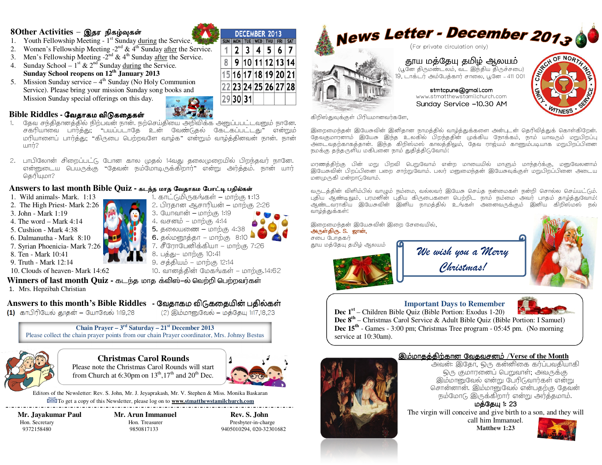## 8Other Activities - இதர நிகழ்வுகள்

- Youth Fellowship Meeting 1<sup>st</sup> Sunday during the Service.<sup>1</sup>  $1<sup>1</sup>$
- Women's Fellowship Meeting -2<sup>nd</sup> &  $4^{\text{th}}$  Sunday after the Service.  $2.$
- 3. Men's Fellowship Meeting  $-2^{nd} \& 4^{th}$  Sunday after the Service.
- 4. Sunday School  $-1$ <sup>st</sup> & 2<sup>nd</sup> Sunday during the Service. Sunday School reopens on  $12^{th}$  January 2013
- 5. Mission Sunday service  $-4$ <sup>th</sup> Sunday (No Holy Communion Service). Please bring your mission Sunday song books and Mission Sunday special offerings on this day.



- Bible Riddles வேதாகம விடுகதைகள் கேவ சந்திகானக்கில் நிற்பவன் நான். நற்செய்கியை அறிவிக்க அறைப்பட்டவனும் நானே. சகரியாவை பார்த்து, "பயப்படாதே உன் வேண்டுதல் கேட்கப்பட்டது" என்றும் .<br>மரியாளைப் பார்க்கு: "கிருபை பெற்றவளே வாடிக" என்றும் வாடிக்கினவன் நான். நான் шпп?
- 2. பாபிலோன் சிறைப்பட்டு போன கால முதல் 14வது தலைமுறையில் பிறந்தவர் நானே. என்னுடைய பெயருக்கு "தேவன் நம்மோடிருக்கிறார்" என்று அர்த்தம். நான் யார் தெரியுமா?

## Answers to last month Bible Quiz - கடந்த மாத வேதாகம போட்டி பதில்கள்

- 1. Wild animals- Mark. 1:13
- 2. The High Priest-Mark 2:26
- 3. John Mark 1:19
- 4. The word  $-$  Mark 4:14
- 5. Cushion Mark 4:38
- 6. Dalmanutha Mark 8:10
- 7. Syrian Phoenicia- Mark 7:26
- 8. Ten Mark 10:41
- 9. Truth Mark 12:14
- 
- 1. காட்டுமிருகங்கள் மாற்கு 1:13 2. பிரதான ஆசாரியன் – மாற்கு 2:26
- 3. யோவான் மாற்கு 1:19
- 4. வசனம் மாற்கு 4:14
- 
- 
- 
- 
- 
- 10. Clouds of heaven- Mark 14:62
- **6.** தல்மனூத்தா மாற்கு 8:10 7. சீரோபேனிக்கியா – மாற்கு 7:26

5. தலையணை – மாற்கு 4:38

- 8. பத்து– மாற்கு 10:41
- 9. சத்தியம் மாற்கு 12:14
- 10. வானத்தின் மேகங்கள் மாற்கு 14:62



- 1. Mrs. Hepzibah Christian
- Answers to this month's Bible Riddles - வேதாகம விடுகதையின் பதில்கள்
- $(1)$  காபிரியேல் தூதன் யோவேல் 1:19,28

 $(2)$  இம்மானுவேல் – மத்தேயு 1:17,18,23

Chain Prayer –  $3^{rd}$  Saturday –  $21^{st}$  December 2013 Please collect the chain prayer points from our chain Prayer coordinator, Mrs. Johnsy Bestus



# **Christmas Carol Rounds**

Please note the Christmas Carol Rounds will start from Church at 6:30pm on  $13<sup>th</sup>$ ,  $17<sup>th</sup>$  and  $20<sup>th</sup>$  Dec.



DECEMBER 2013

29 30 31

Editors of the Newsletter: Rev. S. John, Mr. J. Jeyaprakash, Mr. V. Stephen & Miss. Monika Baskaran To get a copy of this Newsletter, please log on to www.stmatthewstamilchurch.com

Mr. Javakumar Paul Hon. Secretary 9372158480

Mr. Arun Immanuel Hon. Treasurer 9850817133

Rev. S. John Presbyter-in-charge 9405010294.020-32301682



கிறிஸ்துவுக்குள் பிரியமானவர்களே,

இறைமைந்தன் இயேசுவின் இனிதான நாமத்தில் வாழ்த்துக்களை அன்புடன் தெரிவித்துக் கொள்கிறேன். <u>தேவகுமாரனாம் இயேசு இந்த உலகில் பிறந்ததின் முக்கிய நோக்கம், நாம் யாவரும் மறுபிறப்பு</u> அடைவதற்காகத்தான். இந்த கிறிஸ்மஸ் காலத்திலும், தேவ ராஜ்யம் காணும்படியாக மறுபிறப்பிணை நமக்கு தந்தருளிய மகிபனை நாம் துதித்திடுவோம்!

மரணத்திற்கு பின் மறு பிறவி பெறுவோம் என்ற மாயையில் மாளும் மாந்தர்க்கு, மனுவேலனாம் இயேசுவின் பிறப்பினை பறை சாற்றுவோம். பலர் மனுமைந்தன் இயேசுவுக்குள் மறுபிறப்பினை அடைய மனமுருகி மன்றாடுவோம்.

வருடத்தின் விளிம்பில் வாழும் நம்மை, வல்லவர் இயேசு செய்த நன்மைகள் நன்றி சொல்ல செய்யட்டும். புதிய ஆண்டிலும், பரமனின் புதிய கிருபைகளை பெற்றிட நாம் நம்மை அவர் பாதம் தாழ்த்துவோம்! ஆண்டவராகிய இயேசுவின் இனிய நாமத்தில் உங்கள் அனைவருக்கும் இனிய கிறிஸ்மஸ் நல் வாழ்த்துக்கள்!







**Dec**  $8<sup>th</sup>$  – Christmas Carol Service & Adult Bible Quiz (Bible Portion: I Samuel) **Dec**  $15<sup>th</sup>$  - Games - 3:00 pm; Christmas Tree program - 05:45 pm. (No morning service at 10:30am).

## இம்மாதத்திற்கான வேதவசனம் /Verse of the Month



The virgin will conceive and give birth to a son, and they will call him Immanuel

Matthew 1:23